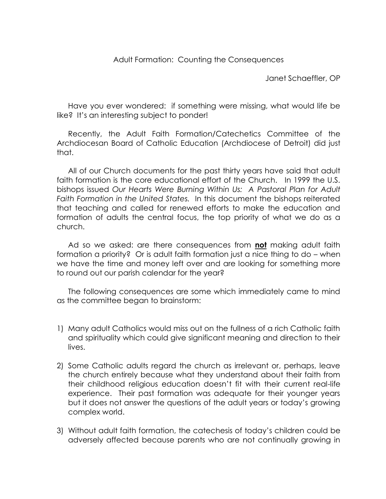Janet Schaeffler, OP

Have you ever wondered: if something were missing, what would life be like? It's an interesting subject to ponder!

Recently, the Adult Faith Formation/Catechetics Committee of the Archdiocesan Board of Catholic Education (Archdiocese of Detroit) did just that.

All of our Church documents for the past thirty years have said that adult faith formation is the core educational effort of the Church. In 1999 the U.S. bishops issued *Our Hearts Were Burning Within Us: A Pastoral Plan for Adult Faith Formation in the United States.* In this document the bishops reiterated that teaching and called for renewed efforts to make the education and formation of adults the central focus, the top priority of what we do as a church.

Ad so we asked: are there consequences from **not** making adult faith formation a priority? Or is adult faith formation just a nice thing to do – when we have the time and money left over and are looking for something more to round out our parish calendar for the year?

The following consequences are some which immediately came to mind as the committee began to brainstorm:

- 1) Many adult Catholics would miss out on the fullness of a rich Catholic faith and spirituality which could give significant meaning and direction to their lives.
- 2) Some Catholic adults regard the church as irrelevant or, perhaps, leave the church entirely because what they understand about their faith from their childhood religious education doesn't fit with their current real-life experience. Their past formation was adequate for their younger years but it does not answer the questions of the adult years or today's growing complex world.
- 3) Without adult faith formation, the catechesis of today's children could be adversely affected because parents who are not continually growing in